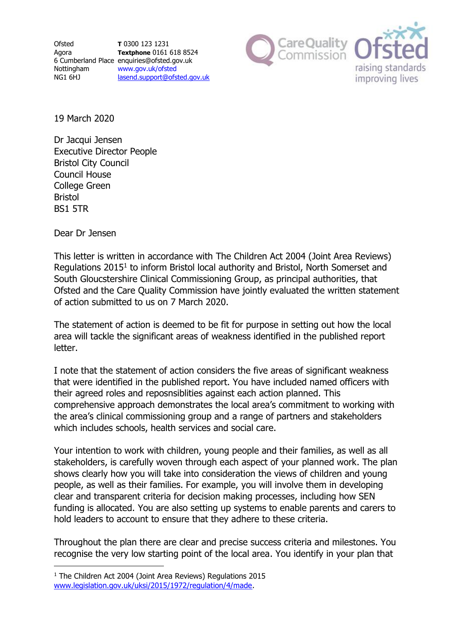

19 March 2020

Dr Jacqui Jensen Executive Director People Bristol City Council Council House College Green Bristol BS1 5TR

Dear Dr Jensen

 $\overline{a}$ 

This letter is written in accordance with The Children Act 2004 (Joint Area Reviews) Regulations 2015<sup>1</sup> to inform Bristol local authority and Bristol, North Somerset and South Gloucstershire Clinical Commissioning Group, as principal authorities, that Ofsted and the Care Quality Commission have jointly evaluated the written statement of action submitted to us on 7 March 2020.

The statement of action is deemed to be fit for purpose in setting out how the local area will tackle the significant areas of weakness identified in the published report letter.

I note that the statement of action considers the five areas of significant weakness that were identified in the published report. You have included named officers with their agreed roles and reposnsiblities against each action planned. This comprehensive approach demonstrates the local area's commitment to working with the area's clinical commissioning group and a range of partners and stakeholders which includes schools, health services and social care.

Your intention to work with children, young people and their families, as well as all stakeholders, is carefully woven through each aspect of your planned work. The plan shows clearly how you will take into consideration the views of children and young people, as well as their families. For example, you will involve them in developing clear and transparent criteria for decision making processes, including how SEN funding is allocated. You are also setting up systems to enable parents and carers to hold leaders to account to ensure that they adhere to these criteria.

Throughout the plan there are clear and precise success criteria and milestones. You recognise the very low starting point of the local area. You identify in your plan that

<sup>&</sup>lt;sup>1</sup> The Children Act 2004 (Joint Area Reviews) Regulations 2015 [www.legislation.gov.uk/uksi/2015/1972/regulation/4/made.](http://www.legislation.gov.uk/uksi/2015/1972/regulation/4/made)